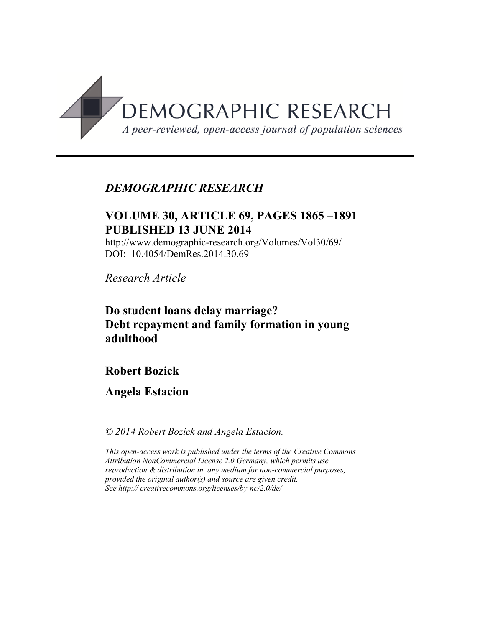

# *DEMOGRAPHIC RESEARCH*

## **VOLUME 30, ARTICLE 69, PAGES 1865 –1891 PUBLISHED 13 JUNE 2014**

http://www.demographic-research.org/Volumes/Vol30/69/ DOI: 10.4054/DemRes.2014.30.69

*Research Article*

# **Do student loans delay marriage? Debt repayment and family formation in young adulthood**

# **Robert Bozick**

# **Angela Estacion**

*© 2014 Robert Bozick and Angela Estacion.* 

*This open-access work is published under the terms of the Creative Commons Attribution NonCommercial License 2.0 Germany, which permits use, reproduction & distribution in any medium for non-commercial purposes, provided the original author(s) and source are given credit. See http:// creativecommons.org/licenses/by-nc/2.0/de/*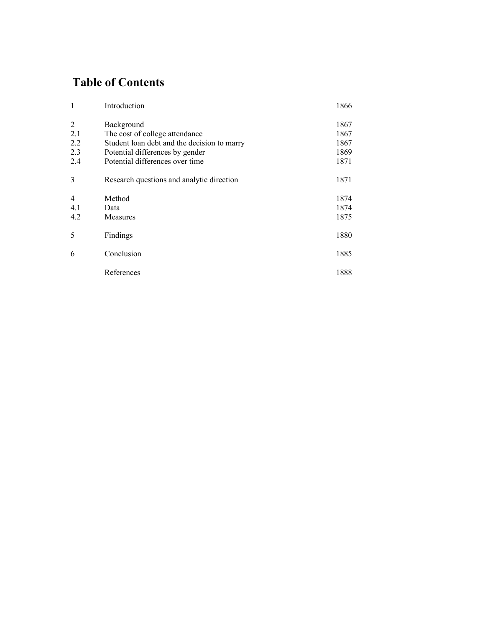# **Table of Contents**

| 1              | Introduction                                | 1866 |
|----------------|---------------------------------------------|------|
| $\overline{2}$ | Background                                  | 1867 |
| 2.1            | The cost of college attendance              | 1867 |
| 2.2            | Student loan debt and the decision to marry | 1867 |
| 2.3            | Potential differences by gender             | 1869 |
| 2.4            | Potential differences over time             | 1871 |
| 3              | Research questions and analytic direction   | 1871 |
| $\overline{4}$ | Method                                      | 1874 |
| 4.1            | Data                                        | 1874 |
| 4.2            | Measures                                    | 1875 |
| 5              | Findings                                    | 1880 |
| 6              | Conclusion                                  | 1885 |
|                | References                                  | 1888 |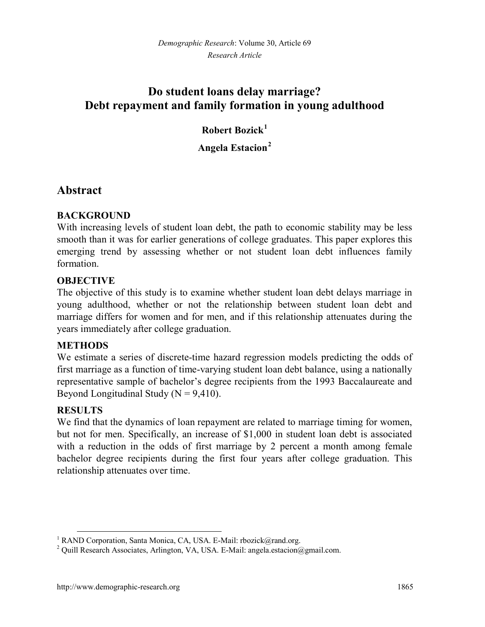# **Do student loans delay marriage? Debt repayment and family formation in young adulthood**

# **Robert Bozick[1](#page-2-0)**

## **Angela Estacion[2](#page-2-1)**

## **Abstract**

## **BACKGROUND**

With increasing levels of student loan debt, the path to economic stability may be less smooth than it was for earlier generations of college graduates. This paper explores this emerging trend by assessing whether or not student loan debt influences family formation.

## **OBJECTIVE**

The objective of this study is to examine whether student loan debt delays marriage in young adulthood, whether or not the relationship between student loan debt and marriage differs for women and for men, and if this relationship attenuates during the years immediately after college graduation.

#### **METHODS**

We estimate a series of discrete-time hazard regression models predicting the odds of first marriage as a function of time-varying student loan debt balance, using a nationally representative sample of bachelor's degree recipients from the 1993 Baccalaureate and Beyond Longitudinal Study ( $N = 9,410$ ).

#### **RESULTS**

We find that the dynamics of loan repayment are related to marriage timing for women, but not for men. Specifically, an increase of \$1,000 in student loan debt is associated with a reduction in the odds of first marriage by 2 percent a month among female bachelor degree recipients during the first four years after college graduation. This relationship attenuates over time.

<span id="page-2-0"></span><sup>&</sup>lt;sup>1</sup> RAND Corporation, Santa Monica, CA, USA. E-Mail[: rbozick@rand.org.](mailto:rbozick@rand.org)

<span id="page-2-1"></span><sup>&</sup>lt;sup>2</sup> Ouill Research Associates, Arlington, VA, USA. E-Mail: angela.estacion@gmail.com.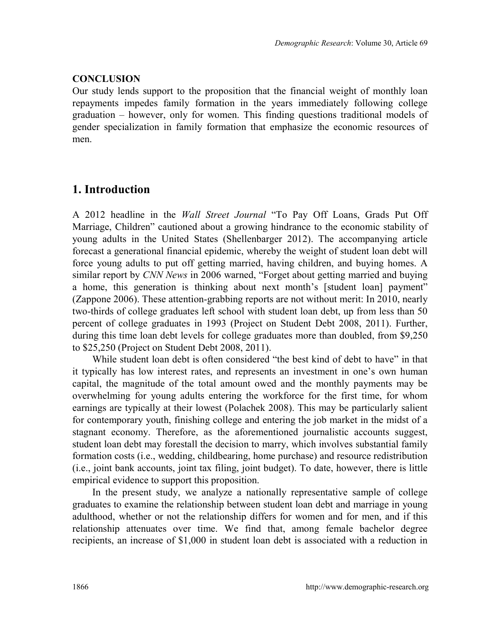#### **CONCLUSION**

Our study lends support to the proposition that the financial weight of monthly loan repayments impedes family formation in the years immediately following college graduation – however, only for women. This finding questions traditional models of gender specialization in family formation that emphasize the economic resources of men.

# **1. Introduction**

A 2012 headline in the *Wall Street Journal* "To Pay Off Loans, Grads Put Off Marriage, Children" cautioned about a growing hindrance to the economic stability of young adults in the United States (Shellenbarger 2012). The accompanying article forecast a generational financial epidemic, whereby the weight of student loan debt will force young adults to put off getting married, having children, and buying homes. A similar report by *CNN News* in 2006 warned, "Forget about getting married and buying a home, this generation is thinking about next month's [student loan] payment" (Zappone 2006). These attention-grabbing reports are not without merit: In 2010, nearly two-thirds of college graduates left school with student loan debt, up from less than 50 percent of college graduates in 1993 (Project on Student Debt 2008, 2011). Further, during this time loan debt levels for college graduates more than doubled, from \$9,250 to \$25,250 (Project on Student Debt 2008, 2011).

While student loan debt is often considered "the best kind of debt to have" in that it typically has low interest rates, and represents an investment in one's own human capital, the magnitude of the total amount owed and the monthly payments may be overwhelming for young adults entering the workforce for the first time, for whom earnings are typically at their lowest (Polachek 2008). This may be particularly salient for contemporary youth, finishing college and entering the job market in the midst of a stagnant economy. Therefore, as the aforementioned journalistic accounts suggest, student loan debt may forestall the decision to marry, which involves substantial family formation costs (i.e., wedding, childbearing, home purchase) and resource redistribution (i.e., joint bank accounts, joint tax filing, joint budget). To date, however, there is little empirical evidence to support this proposition.

In the present study, we analyze a nationally representative sample of college graduates to examine the relationship between student loan debt and marriage in young adulthood, whether or not the relationship differs for women and for men, and if this relationship attenuates over time. We find that, among female bachelor degree recipients, an increase of \$1,000 in student loan debt is associated with a reduction in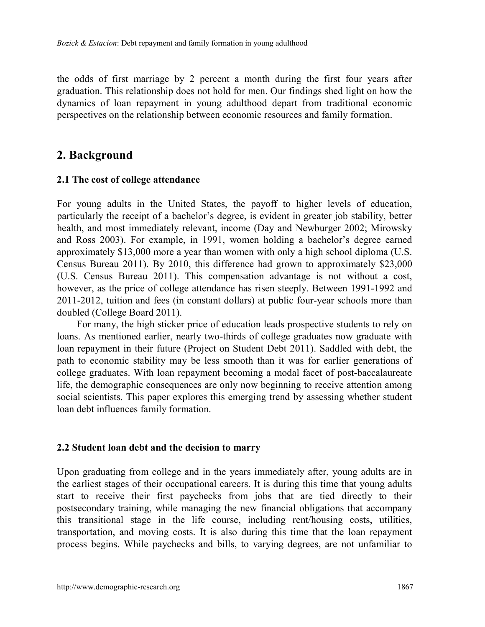the odds of first marriage by 2 percent a month during the first four years after graduation. This relationship does not hold for men. Our findings shed light on how the dynamics of loan repayment in young adulthood depart from traditional economic perspectives on the relationship between economic resources and family formation.

## **2. Background**

#### **2.1 The cost of college attendance**

For young adults in the United States, the payoff to higher levels of education, particularly the receipt of a bachelor's degree, is evident in greater job stability, better health, and most immediately relevant, income (Day and Newburger 2002; Mirowsky and Ross 2003). For example, in 1991, women holding a bachelor's degree earned approximately \$13,000 more a year than women with only a high school diploma (U.S. Census Bureau 2011). By 2010, this difference had grown to approximately \$23,000 (U.S. Census Bureau 2011). This compensation advantage is not without a cost, however, as the price of college attendance has risen steeply. Between 1991-1992 and 2011-2012, tuition and fees (in constant dollars) at public four-year schools more than doubled (College Board 2011).

For many, the high sticker price of education leads prospective students to rely on loans. As mentioned earlier, nearly two-thirds of college graduates now graduate with loan repayment in their future (Project on Student Debt 2011). Saddled with debt, the path to economic stability may be less smooth than it was for earlier generations of college graduates. With loan repayment becoming a modal facet of post-baccalaureate life, the demographic consequences are only now beginning to receive attention among social scientists. This paper explores this emerging trend by assessing whether student loan debt influences family formation.

#### **2.2 Student loan debt and the decision to marry**

Upon graduating from college and in the years immediately after, young adults are in the earliest stages of their occupational careers. It is during this time that young adults start to receive their first paychecks from jobs that are tied directly to their postsecondary training, while managing the new financial obligations that accompany this transitional stage in the life course, including rent/housing costs, utilities, transportation, and moving costs. It is also during this time that the loan repayment process begins. While paychecks and bills, to varying degrees, are not unfamiliar to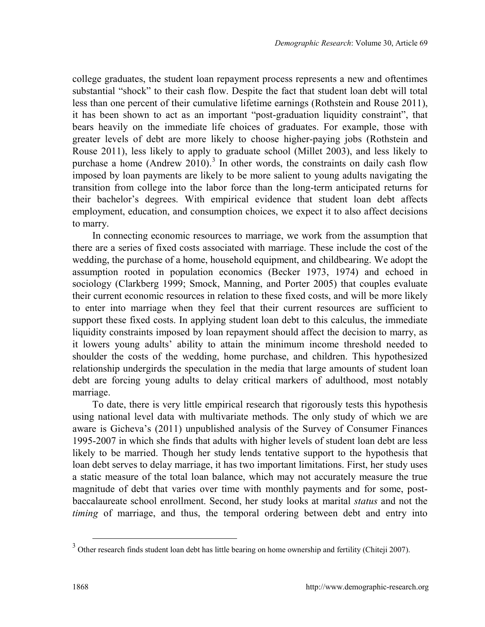<span id="page-5-0"></span>college graduates, the student loan repayment process represents a new and oftentimes substantial "shock" to their cash flow. Despite the fact that student loan debt will total less than one percent of their cumulative lifetime earnings (Rothstein and Rouse 2011), it has been shown to act as an important "post-graduation liquidity constraint", that bears heavily on the immediate life choices of graduates. For example, those with greater levels of debt are more likely to choose higher-paying jobs (Rothstein and Rouse 2011), less likely to apply to graduate school (Millet 2003), and less likely to purchase a home (Andrew 2010).<sup>[3](#page-5-0)</sup> In other words, the constraints on daily cash flow imposed by loan payments are likely to be more salient to young adults navigating the transition from college into the labor force than the long-term anticipated returns for their bachelor's degrees. With empirical evidence that student loan debt affects employment, education, and consumption choices, we expect it to also affect decisions to marry.

In connecting economic resources to marriage, we work from the assumption that there are a series of fixed costs associated with marriage. These include the cost of the wedding, the purchase of a home, household equipment, and childbearing. We adopt the assumption rooted in population economics (Becker 1973, 1974) and echoed in sociology (Clarkberg 1999; Smock, Manning, and Porter 2005) that couples evaluate their current economic resources in relation to these fixed costs, and will be more likely to enter into marriage when they feel that their current resources are sufficient to support these fixed costs. In applying student loan debt to this calculus, the immediate liquidity constraints imposed by loan repayment should affect the decision to marry, as it lowers young adults' ability to attain the minimum income threshold needed to shoulder the costs of the wedding, home purchase, and children. This hypothesized relationship undergirds the speculation in the media that large amounts of student loan debt are forcing young adults to delay critical markers of adulthood, most notably marriage.

To date, there is very little empirical research that rigorously tests this hypothesis using national level data with multivariate methods. The only study of which we are aware is Gicheva's (2011) unpublished analysis of the Survey of Consumer Finances 1995-2007 in which she finds that adults with higher levels of student loan debt are less likely to be married. Though her study lends tentative support to the hypothesis that loan debt serves to delay marriage, it has two important limitations. First, her study uses a static measure of the total loan balance, which may not accurately measure the true magnitude of debt that varies over time with monthly payments and for some, postbaccalaureate school enrollment. Second, her study looks at marital *status* and not the *timing* of marriage, and thus, the temporal ordering between debt and entry into

<sup>&</sup>lt;sup>3</sup> Other research finds student loan debt has little bearing on home ownership and fertility (Chiteji 2007).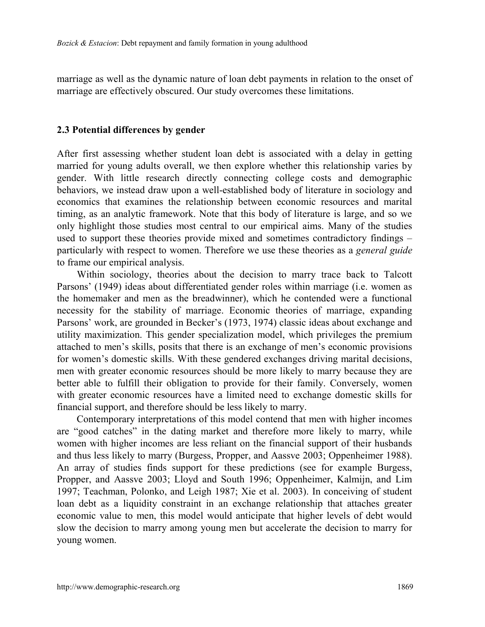marriage as well as the dynamic nature of loan debt payments in relation to the onset of marriage are effectively obscured. Our study overcomes these limitations.

#### **2.3 Potential differences by gender**

After first assessing whether student loan debt is associated with a delay in getting married for young adults overall, we then explore whether this relationship varies by gender. With little research directly connecting college costs and demographic behaviors, we instead draw upon a well-established body of literature in sociology and economics that examines the relationship between economic resources and marital timing, as an analytic framework. Note that this body of literature is large, and so we only highlight those studies most central to our empirical aims. Many of the studies used to support these theories provide mixed and sometimes contradictory findings – particularly with respect to women. Therefore we use these theories as a *general guide* to frame our empirical analysis.

Within sociology, theories about the decision to marry trace back to Talcott Parsons' (1949) ideas about differentiated gender roles within marriage (i.e. women as the homemaker and men as the breadwinner), which he contended were a functional necessity for the stability of marriage. Economic theories of marriage, expanding Parsons' work, are grounded in Becker's (1973, 1974) classic ideas about exchange and utility maximization. This gender specialization model, which privileges the premium attached to men's skills, posits that there is an exchange of men's economic provisions for women's domestic skills. With these gendered exchanges driving marital decisions, men with greater economic resources should be more likely to marry because they are better able to fulfill their obligation to provide for their family. Conversely, women with greater economic resources have a limited need to exchange domestic skills for financial support, and therefore should be less likely to marry.

Contemporary interpretations of this model contend that men with higher incomes are "good catches" in the dating market and therefore more likely to marry, while women with higher incomes are less reliant on the financial support of their husbands and thus less likely to marry (Burgess, Propper, and Aassve 2003; Oppenheimer 1988). An array of studies finds support for these predictions (see for example Burgess, Propper, and Aassve 2003; Lloyd and South 1996; Oppenheimer, Kalmijn, and Lim 1997; Teachman, Polonko, and Leigh 1987; Xie et al. 2003). In conceiving of student loan debt as a liquidity constraint in an exchange relationship that attaches greater economic value to men, this model would anticipate that higher levels of debt would slow the decision to marry among young men but accelerate the decision to marry for young women.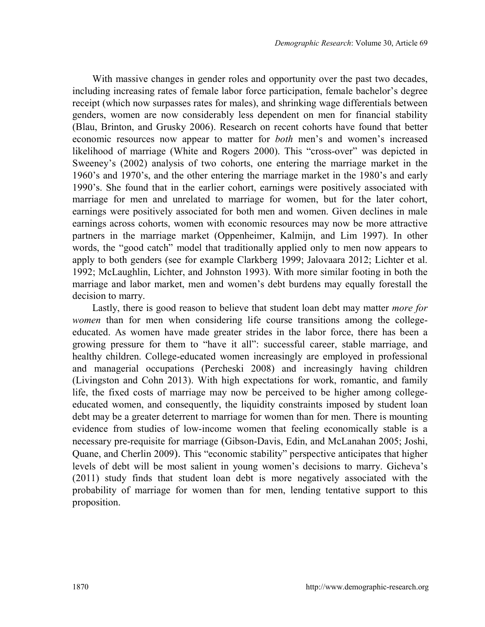With massive changes in gender roles and opportunity over the past two decades, including increasing rates of female labor force participation, female bachelor's degree receipt (which now surpasses rates for males), and shrinking wage differentials between genders, women are now considerably less dependent on men for financial stability (Blau, Brinton, and Grusky 2006). Research on recent cohorts have found that better economic resources now appear to matter for *both* men's and women's increased likelihood of marriage (White and Rogers 2000). This "cross-over" was depicted in Sweeney's (2002) analysis of two cohorts, one entering the marriage market in the 1960's and 1970's, and the other entering the marriage market in the 1980's and early 1990's. She found that in the earlier cohort, earnings were positively associated with marriage for men and unrelated to marriage for women, but for the later cohort, earnings were positively associated for both men and women. Given declines in male earnings across cohorts, women with economic resources may now be more attractive partners in the marriage market (Oppenheimer, Kalmijn, and Lim 1997). In other words, the "good catch" model that traditionally applied only to men now appears to apply to both genders (see for example Clarkberg 1999; Jalovaara 2012; Lichter et al. 1992; McLaughlin, Lichter, and Johnston 1993). With more similar footing in both the marriage and labor market, men and women's debt burdens may equally forestall the decision to marry.

Lastly, there is good reason to believe that student loan debt may matter *more for women* than for men when considering life course transitions among the collegeeducated. As women have made greater strides in the labor force, there has been a growing pressure for them to "have it all": successful career, stable marriage, and healthy children. College-educated women increasingly are employed in professional and managerial occupations (Percheski 2008) and increasingly having children (Livingston and Cohn 2013). With high expectations for work, romantic, and family life, the fixed costs of marriage may now be perceived to be higher among collegeeducated women, and consequently, the liquidity constraints imposed by student loan debt may be a greater deterrent to marriage for women than for men. There is mounting evidence from studies of low-income women that feeling economically stable is a necessary pre-requisite for marriage (Gibson-Davis, Edin, and McLanahan 2005; Joshi, Quane, and Cherlin 2009). This "economic stability" perspective anticipates that higher levels of debt will be most salient in young women's decisions to marry. Gicheva's (2011) study finds that student loan debt is more negatively associated with the probability of marriage for women than for men, lending tentative support to this proposition.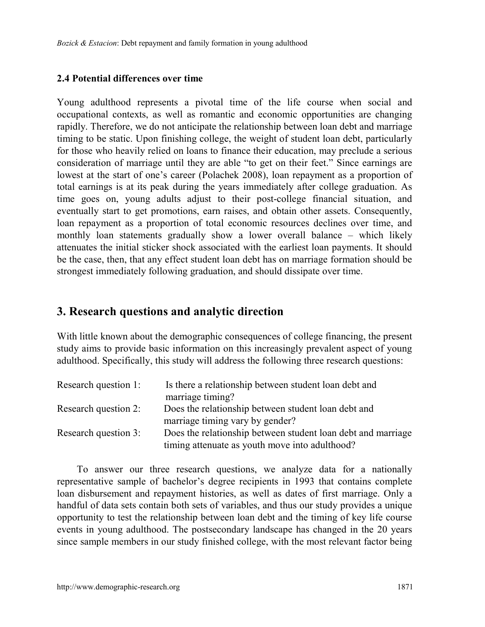#### **2.4 Potential differences over time**

Young adulthood represents a pivotal time of the life course when social and occupational contexts, as well as romantic and economic opportunities are changing rapidly. Therefore, we do not anticipate the relationship between loan debt and marriage timing to be static. Upon finishing college, the weight of student loan debt, particularly for those who heavily relied on loans to finance their education, may preclude a serious consideration of marriage until they are able "to get on their feet." Since earnings are lowest at the start of one's career (Polachek 2008), loan repayment as a proportion of total earnings is at its peak during the years immediately after college graduation. As time goes on, young adults adjust to their post-college financial situation, and eventually start to get promotions, earn raises, and obtain other assets. Consequently, loan repayment as a proportion of total economic resources declines over time, and monthly loan statements gradually show a lower overall balance – which likely attenuates the initial sticker shock associated with the earliest loan payments. It should be the case, then, that any effect student loan debt has on marriage formation should be strongest immediately following graduation, and should dissipate over time.

## **3. Research questions and analytic direction**

With little known about the demographic consequences of college financing, the present study aims to provide basic information on this increasingly prevalent aspect of young adulthood. Specifically, this study will address the following three research questions:

| Research question 1: | Is there a relationship between student loan debt and        |
|----------------------|--------------------------------------------------------------|
|                      | marriage timing?                                             |
| Research question 2: | Does the relationship between student loan debt and          |
|                      | marriage timing vary by gender?                              |
| Research question 3: | Does the relationship between student loan debt and marriage |
|                      | timing attenuate as youth move into adulthood?               |

To answer our three research questions, we analyze data for a nationally representative sample of bachelor's degree recipients in 1993 that contains complete loan disbursement and repayment histories, as well as dates of first marriage. Only a handful of data sets contain both sets of variables, and thus our study provides a unique opportunity to test the relationship between loan debt and the timing of key life course events in young adulthood. The postsecondary landscape has changed in the 20 years since sample members in our study finished college, with the most relevant factor being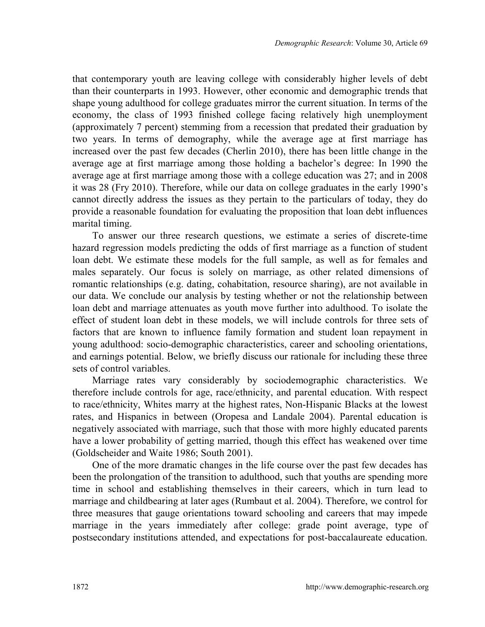that contemporary youth are leaving college with considerably higher levels of debt than their counterparts in 1993. However, other economic and demographic trends that shape young adulthood for college graduates mirror the current situation. In terms of the economy, the class of 1993 finished college facing relatively high unemployment (approximately 7 percent) stemming from a recession that predated their graduation by two years. In terms of demography, while the average age at first marriage has increased over the past few decades (Cherlin 2010), there has been little change in the average age at first marriage among those holding a bachelor's degree: In 1990 the average age at first marriage among those with a college education was 27; and in 2008 it was 28 (Fry 2010). Therefore, while our data on college graduates in the early 1990's cannot directly address the issues as they pertain to the particulars of today, they do provide a reasonable foundation for evaluating the proposition that loan debt influences marital timing.

To answer our three research questions, we estimate a series of discrete-time hazard regression models predicting the odds of first marriage as a function of student loan debt. We estimate these models for the full sample, as well as for females and males separately. Our focus is solely on marriage, as other related dimensions of romantic relationships (e.g. dating, cohabitation, resource sharing), are not available in our data. We conclude our analysis by testing whether or not the relationship between loan debt and marriage attenuates as youth move further into adulthood. To isolate the effect of student loan debt in these models, we will include controls for three sets of factors that are known to influence family formation and student loan repayment in young adulthood: socio-demographic characteristics, career and schooling orientations, and earnings potential. Below, we briefly discuss our rationale for including these three sets of control variables.

Marriage rates vary considerably by sociodemographic characteristics. We therefore include controls for age, race/ethnicity, and parental education. With respect to race/ethnicity, Whites marry at the highest rates, Non-Hispanic Blacks at the lowest rates, and Hispanics in between (Oropesa and Landale 2004). Parental education is negatively associated with marriage, such that those with more highly educated parents have a lower probability of getting married, though this effect has weakened over time (Goldscheider and Waite 1986; South 2001).

One of the more dramatic changes in the life course over the past few decades has been the prolongation of the transition to adulthood, such that youths are spending more time in school and establishing themselves in their careers, which in turn lead to marriage and childbearing at later ages (Rumbaut et al. 2004). Therefore, we control for three measures that gauge orientations toward schooling and careers that may impede marriage in the years immediately after college: grade point average, type of postsecondary institutions attended, and expectations for post-baccalaureate education.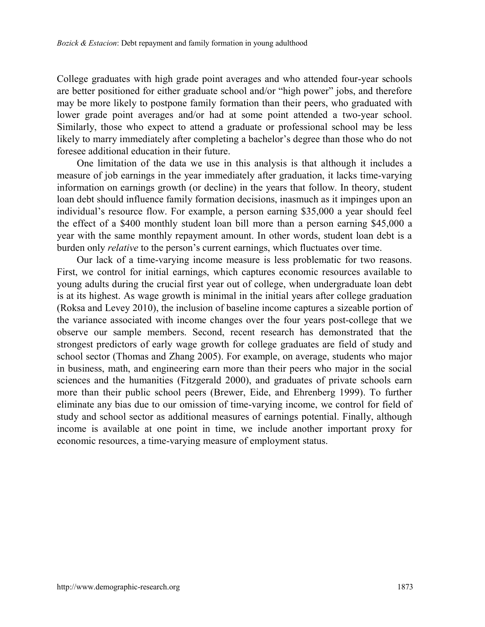College graduates with high grade point averages and who attended four-year schools are better positioned for either graduate school and/or "high power" jobs, and therefore may be more likely to postpone family formation than their peers, who graduated with lower grade point averages and/or had at some point attended a two-year school. Similarly, those who expect to attend a graduate or professional school may be less likely to marry immediately after completing a bachelor's degree than those who do not foresee additional education in their future.

One limitation of the data we use in this analysis is that although it includes a measure of job earnings in the year immediately after graduation, it lacks time-varying information on earnings growth (or decline) in the years that follow. In theory, student loan debt should influence family formation decisions, inasmuch as it impinges upon an individual's resource flow. For example, a person earning \$35,000 a year should feel the effect of a \$400 monthly student loan bill more than a person earning \$45,000 a year with the same monthly repayment amount. In other words, student loan debt is a burden only *relative* to the person's current earnings, which fluctuates over time.

Our lack of a time-varying income measure is less problematic for two reasons. First, we control for initial earnings, which captures economic resources available to young adults during the crucial first year out of college, when undergraduate loan debt is at its highest. As wage growth is minimal in the initial years after college graduation (Roksa and Levey 2010), the inclusion of baseline income captures a sizeable portion of the variance associated with income changes over the four years post-college that we observe our sample members. Second, recent research has demonstrated that the strongest predictors of early wage growth for college graduates are field of study and school sector (Thomas and Zhang 2005). For example, on average, students who major in business, math, and engineering earn more than their peers who major in the social sciences and the humanities (Fitzgerald 2000), and graduates of private schools earn more than their public school peers (Brewer, Eide, and Ehrenberg 1999). To further eliminate any bias due to our omission of time-varying income, we control for field of study and school sector as additional measures of earnings potential. Finally, although income is available at one point in time, we include another important proxy for economic resources, a time-varying measure of employment status.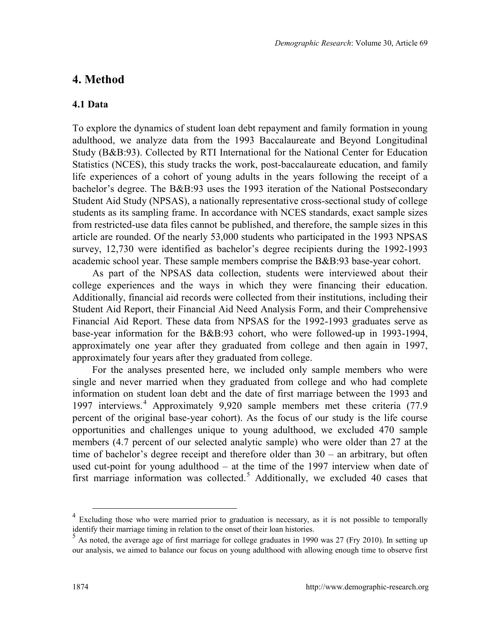## <span id="page-11-0"></span>**4. Method**

#### **4.1 Data**

To explore the dynamics of student loan debt repayment and family formation in young adulthood, we analyze data from the 1993 Baccalaureate and Beyond Longitudinal Study (B&B:93). Collected by RTI International for the National Center for Education Statistics (NCES), this study tracks the work, post-baccalaureate education, and family life experiences of a cohort of young adults in the years following the receipt of a bachelor's degree. The B&B:93 uses the 1993 iteration of the National Postsecondary Student Aid Study (NPSAS), a nationally representative cross-sectional study of college students as its sampling frame. In accordance with NCES standards, exact sample sizes from restricted-use data files cannot be published, and therefore, the sample sizes in this article are rounded. Of the nearly 53,000 students who participated in the 1993 NPSAS survey, 12,730 were identified as bachelor's degree recipients during the 1992-1993 academic school year. These sample members comprise the B&B:93 base-year cohort.

As part of the NPSAS data collection, students were interviewed about their college experiences and the ways in which they were financing their education. Additionally, financial aid records were collected from their institutions, including their Student Aid Report, their Financial Aid Need Analysis Form, and their Comprehensive Financial Aid Report. These data from NPSAS for the 1992-1993 graduates serve as base-year information for the B&B:93 cohort, who were followed-up in 1993-1994, approximately one year after they graduated from college and then again in 1997, approximately four years after they graduated from college.

For the analyses presented here, we included only sample members who were single and never married when they graduated from college and who had complete information on student loan debt and the date of first marriage between the 1993 and 1997 interviews.[4](#page-11-0) Approximately 9,920 sample members met these criteria (77.9 percent of the original base-year cohort). As the focus of our study is the life course opportunities and challenges unique to young adulthood, we excluded 470 sample members (4.7 percent of our selected analytic sample) who were older than 27 at the time of bachelor's degree receipt and therefore older than 30 – an arbitrary, but often used cut-point for young adulthood – at the time of the 1997 interview when date of first marriage information was collected. [5](#page-11-1) Additionally, we excluded 40 cases that

 $4$  Excluding those who were married prior to graduation is necessary, as it is not possible to temporally identify their marriage timing in relation to the onset of their loan histories.

<span id="page-11-1"></span> $\frac{5}{10}$  As noted, the average age of first marriage for college graduates in 1990 was 27 (Fry 2010). In setting up our analysis, we aimed to balance our focus on young adulthood with allowing enough time to observe first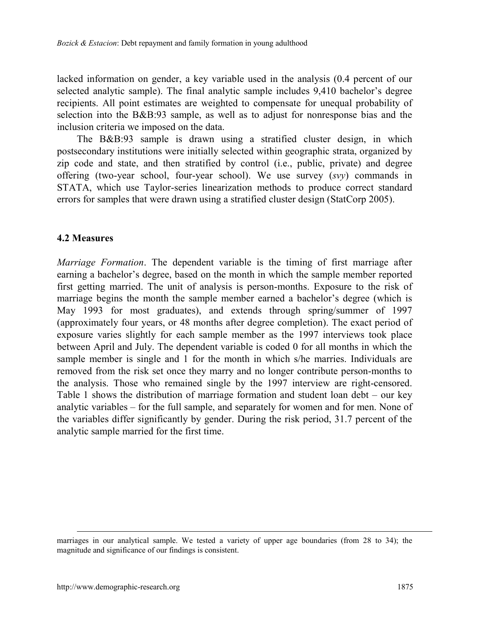lacked information on gender, a key variable used in the analysis (0.4 percent of our selected analytic sample). The final analytic sample includes 9,410 bachelor's degree recipients. All point estimates are weighted to compensate for unequal probability of selection into the B&B:93 sample, as well as to adjust for nonresponse bias and the inclusion criteria we imposed on the data.

The B&B:93 sample is drawn using a stratified cluster design, in which postsecondary institutions were initially selected within geographic strata, organized by zip code and state, and then stratified by control (i.e., public, private) and degree offering (two-year school, four-year school). We use survey (*svy*) commands in STATA, which use Taylor-series linearization methods to produce correct standard errors for samples that were drawn using a stratified cluster design (StatCorp 2005).

#### **4.2 Measures**

*Marriage Formation*. The dependent variable is the timing of first marriage after earning a bachelor's degree, based on the month in which the sample member reported first getting married. The unit of analysis is person-months. Exposure to the risk of marriage begins the month the sample member earned a bachelor's degree (which is May 1993 for most graduates), and extends through spring/summer of 1997 (approximately four years, or 48 months after degree completion). The exact period of exposure varies slightly for each sample member as the 1997 interviews took place between April and July. The dependent variable is coded 0 for all months in which the sample member is single and 1 for the month in which s/he marries. Individuals are removed from the risk set once they marry and no longer contribute person-months to the analysis. Those who remained single by the 1997 interview are right-censored. Table 1 shows the distribution of marriage formation and student loan debt – our key analytic variables – for the full sample, and separately for women and for men. None of the variables differ significantly by gender. During the risk period, 31.7 percent of the analytic sample married for the first time.

marriages in our analytical sample. We tested a variety of upper age boundaries (from 28 to 34); the magnitude and significance of our findings is consistent.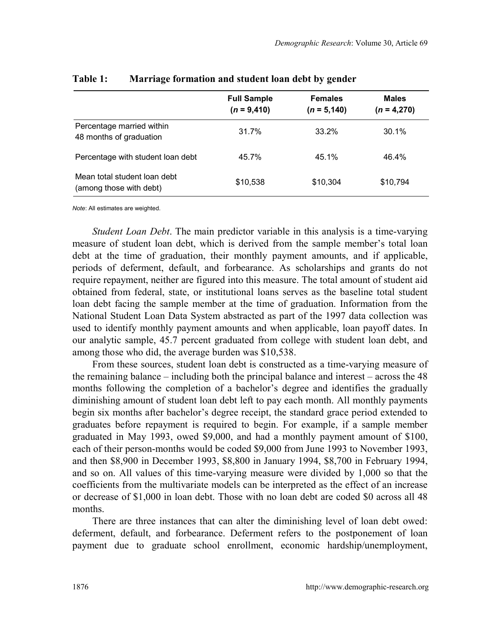|                                                         | <b>Full Sample</b><br>$(n = 9,410)$ | <b>Females</b><br>$(n = 5, 140)$ | <b>Males</b><br>$(n = 4,270)$ |
|---------------------------------------------------------|-------------------------------------|----------------------------------|-------------------------------|
| Percentage married within<br>48 months of graduation    | 31.7%                               | 33.2%                            | 30.1%                         |
| Percentage with student loan debt                       | 45.7%                               | 45.1%                            | 46.4%                         |
| Mean total student loan debt<br>(among those with debt) | \$10.538                            | \$10.304                         | \$10,794                      |

#### **Table 1: Marriage formation and student loan debt by gender**

*Note*: All estimates are weighted.

*Student Loan Debt*. The main predictor variable in this analysis is a time-varying measure of student loan debt, which is derived from the sample member's total loan debt at the time of graduation, their monthly payment amounts, and if applicable, periods of deferment, default, and forbearance. As scholarships and grants do not require repayment, neither are figured into this measure. The total amount of student aid obtained from federal, state, or institutional loans serves as the baseline total student loan debt facing the sample member at the time of graduation. Information from the National Student Loan Data System abstracted as part of the 1997 data collection was used to identify monthly payment amounts and when applicable, loan payoff dates. In our analytic sample, 45.7 percent graduated from college with student loan debt, and among those who did, the average burden was \$10,538.

From these sources, student loan debt is constructed as a time-varying measure of the remaining balance – including both the principal balance and interest – across the 48 months following the completion of a bachelor's degree and identifies the gradually diminishing amount of student loan debt left to pay each month. All monthly payments begin six months after bachelor's degree receipt, the standard grace period extended to graduates before repayment is required to begin. For example, if a sample member graduated in May 1993, owed \$9,000, and had a monthly payment amount of \$100, each of their person-months would be coded \$9,000 from June 1993 to November 1993, and then \$8,900 in December 1993, \$8,800 in January 1994, \$8,700 in February 1994, and so on. All values of this time-varying measure were divided by 1,000 so that the coefficients from the multivariate models can be interpreted as the effect of an increase or decrease of \$1,000 in loan debt. Those with no loan debt are coded \$0 across all 48 months.

There are three instances that can alter the diminishing level of loan debt owed: deferment, default, and forbearance. Deferment refers to the postponement of loan payment due to graduate school enrollment, economic hardship/unemployment,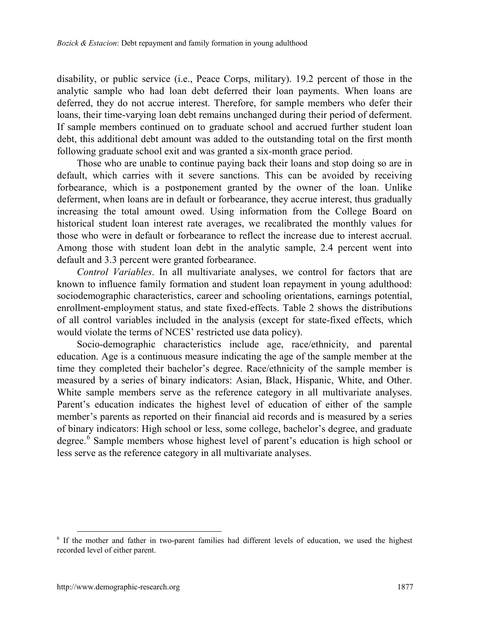disability, or public service (i.e., Peace Corps, military). 19.2 percent of those in the analytic sample who had loan debt deferred their loan payments. When loans are deferred, they do not accrue interest. Therefore, for sample members who defer their loans, their time-varying loan debt remains unchanged during their period of deferment. If sample members continued on to graduate school and accrued further student loan debt, this additional debt amount was added to the outstanding total on the first month following graduate school exit and was granted a six-month grace period.

Those who are unable to continue paying back their loans and stop doing so are in default, which carries with it severe sanctions. This can be avoided by receiving forbearance, which is a postponement granted by the owner of the loan. Unlike deferment, when loans are in default or forbearance, they accrue interest, thus gradually increasing the total amount owed. Using information from the College Board on historical student loan interest rate averages, we recalibrated the monthly values for those who were in default or forbearance to reflect the increase due to interest accrual. Among those with student loan debt in the analytic sample, 2.4 percent went into default and 3.3 percent were granted forbearance.

*Control Variables*. In all multivariate analyses, we control for factors that are known to influence family formation and student loan repayment in young adulthood: sociodemographic characteristics, career and schooling orientations, earnings potential, enrollment-employment status, and state fixed-effects. Table 2 shows the distributions of all control variables included in the analysis (except for state-fixed effects, which would violate the terms of NCES' restricted use data policy).

Socio-demographic characteristics include age, race/ethnicity, and parental education. Age is a continuous measure indicating the age of the sample member at the time they completed their bachelor's degree. Race/ethnicity of the sample member is measured by a series of binary indicators: Asian, Black, Hispanic, White, and Other. White sample members serve as the reference category in all multivariate analyses. Parent's education indicates the highest level of education of either of the sample member's parents as reported on their financial aid records and is measured by a series of binary indicators: High school or less, some college, bachelor's degree, and graduate degree.<sup>[6](#page-14-0)</sup> Sample members whose highest level of parent's education is high school or less serve as the reference category in all multivariate analyses.

<span id="page-14-0"></span> <sup>6</sup> If the mother and father in two-parent families had different levels of education, we used the highest recorded level of either parent.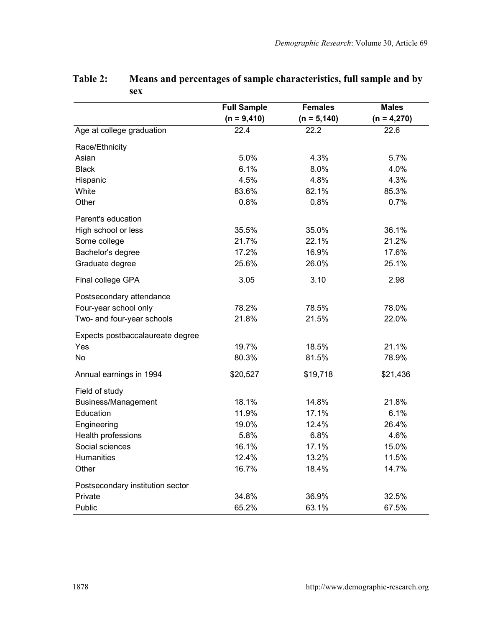|                                  | <b>Full Sample</b> | <b>Females</b>    | <b>Males</b>  |  |
|----------------------------------|--------------------|-------------------|---------------|--|
|                                  | $(n = 9,410)$      | $(n = 5, 140)$    | $(n = 4,270)$ |  |
| Age at college graduation        | 22.4               | $\overline{22.2}$ | 22.6          |  |
| Race/Ethnicity                   |                    |                   |               |  |
| Asian                            | 5.0%               | 4.3%              | 5.7%          |  |
| <b>Black</b>                     | 6.1%               | 8.0%              | 4.0%          |  |
| Hispanic                         | 4.5%               | 4.8%              | 4.3%          |  |
| White                            | 83.6%              | 82.1%             | 85.3%         |  |
| Other                            | 0.8%               | 0.8%              | 0.7%          |  |
| Parent's education               |                    |                   |               |  |
| High school or less              | 35.5%              | 35.0%             | 36.1%         |  |
| Some college                     | 21.7%              | 22.1%             | 21.2%         |  |
| Bachelor's degree                | 17.2%              | 16.9%             | 17.6%         |  |
| Graduate degree                  | 25.6%              | 26.0%             | 25.1%         |  |
| Final college GPA                | 3.05               | 3.10              | 2.98          |  |
| Postsecondary attendance         |                    |                   |               |  |
| Four-year school only            | 78.2%              | 78.5%             | 78.0%         |  |
| Two- and four-year schools       | 21.8%              | 21.5%             | 22.0%         |  |
| Expects postbaccalaureate degree |                    |                   |               |  |
| Yes                              | 19.7%              | 18.5%             | 21.1%         |  |
| No                               | 80.3%              | 81.5%             | 78.9%         |  |
| Annual earnings in 1994          | \$20,527           | \$19,718          | \$21,436      |  |
| Field of study                   |                    |                   |               |  |
| Business/Management              | 18.1%              | 14.8%             | 21.8%         |  |
| Education                        | 11.9%              | 17.1%             | 6.1%          |  |
| Engineering                      | 19.0%              | 12.4%             | 26.4%         |  |
| Health professions               | 5.8%               | 6.8%              | 4.6%          |  |
| Social sciences                  | 16.1%              | 17.1%             | 15.0%         |  |
| <b>Humanities</b>                | 12.4%              | 13.2%             | 11.5%         |  |
| Other                            | 16.7%              | 18.4%             | 14.7%         |  |
| Postsecondary institution sector |                    |                   |               |  |
| Private                          | 34.8%              | 36.9%             | 32.5%         |  |
| Public                           | 65.2%              | 63.1%             | 67.5%         |  |

#### **Table 2: Means and percentages of sample characteristics, full sample and by sex**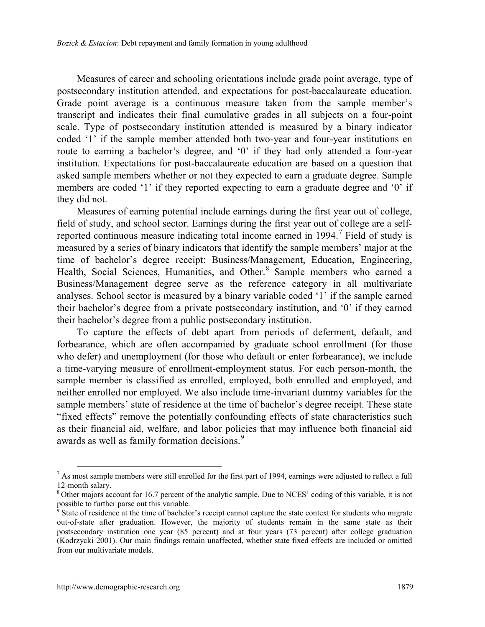Measures of career and schooling orientations include grade point average, type of postsecondary institution attended, and expectations for post-baccalaureate education. Grade point average is a continuous measure taken from the sample member's transcript and indicates their final cumulative grades in all subjects on a four-point scale. Type of postsecondary institution attended is measured by a binary indicator coded '1' if the sample member attended both two-year and four-year institutions en route to earning a bachelor's degree, and '0' if they had only attended a four-year institution. Expectations for post-baccalaureate education are based on a question that asked sample members whether or not they expected to earn a graduate degree. Sample members are coded '1' if they reported expecting to earn a graduate degree and '0' if they did not.

Measures of earning potential include earnings during the first year out of college, field of study, and school sector. Earnings during the first year out of college are a selfreported continuous measure indicating total income earned in  $1994$ .<sup>[7](#page-16-0)</sup> Field of study is measured by a series of binary indicators that identify the sample members' major at the time of bachelor's degree receipt: Business/Management, Education, Engineering, Health, Social Sciences, Humanities, and Other.<sup>[8](#page-16-1)</sup> Sample members who earned a Business/Management degree serve as the reference category in all multivariate analyses. School sector is measured by a binary variable coded '1' if the sample earned their bachelor's degree from a private postsecondary institution, and '0' if they earned their bachelor's degree from a public postsecondary institution.

To capture the effects of debt apart from periods of deferment, default, and forbearance, which are often accompanied by graduate school enrollment (for those who defer) and unemployment (for those who default or enter forbearance), we include a time-varying measure of enrollment-employment status. For each person-month, the sample member is classified as enrolled, employed, both enrolled and employed, and neither enrolled nor employed. We also include time-invariant dummy variables for the sample members' state of residence at the time of bachelor's degree receipt. These state "fixed effects" remove the potentially confounding effects of state characteristics such as their financial aid, welfare, and labor policies that may influence both financial aid awards as well as family formation decisions.<sup>[9](#page-16-2)</sup>

<span id="page-16-0"></span> $^7$  As most sample members were still enrolled for the first part of 1994, earnings were adjusted to reflect a full 12-month salary.<br><sup>8</sup> Other majors account for 16.7 percent of the analytic sample. Due to NCES' coding of this variable, it is not

<span id="page-16-1"></span>possible to further parse out this variable.

<span id="page-16-2"></span> $9^9$  State of residence at the time of bachelor's receipt cannot capture the state context for students who migrate out-of-state after graduation. However, the majority of students remain in the same state as their postsecondary institution one year (85 percent) and at four years (73 percent) after college graduation (Kodrzycki 2001). Our main findings remain unaffected, whether state fixed effects are included or omitted from our multivariate models.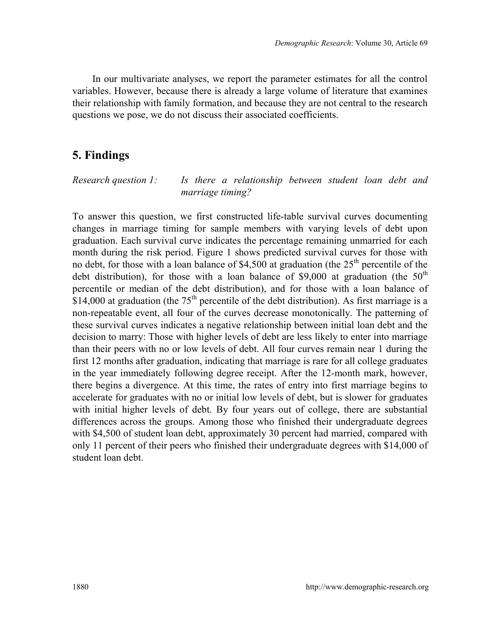In our multivariate analyses, we report the parameter estimates for all the control variables. However, because there is already a large volume of literature that examines their relationship with family formation, and because they are not central to the research questions we pose, we do not discuss their associated coefficients.

# **5. Findings**

*Research question 1: Is there a relationship between student loan debt and marriage timing?*

To answer this question, we first constructed life-table survival curves documenting changes in marriage timing for sample members with varying levels of debt upon graduation. Each survival curve indicates the percentage remaining unmarried for each month during the risk period. Figure 1 shows predicted survival curves for those with no debt, for those with a loan balance of \$4,500 at graduation (the  $25<sup>th</sup>$  percentile of the debt distribution), for those with a loan balance of \$9,000 at graduation (the  $50<sup>th</sup>$ percentile or median of the debt distribution), and for those with a loan balance of  $$14,000$  at graduation (the  $75<sup>th</sup>$  percentile of the debt distribution). As first marriage is a non-repeatable event, all four of the curves decrease monotonically. The patterning of these survival curves indicates a negative relationship between initial loan debt and the decision to marry: Those with higher levels of debt are less likely to enter into marriage than their peers with no or low levels of debt. All four curves remain near 1 during the first 12 months after graduation, indicating that marriage is rare for all college graduates in the year immediately following degree receipt. After the 12-month mark, however, there begins a divergence. At this time, the rates of entry into first marriage begins to accelerate for graduates with no or initial low levels of debt, but is slower for graduates with initial higher levels of debt. By four years out of college, there are substantial differences across the groups. Among those who finished their undergraduate degrees with \$4,500 of student loan debt, approximately 30 percent had married, compared with only 11 percent of their peers who finished their undergraduate degrees with \$14,000 of student loan debt.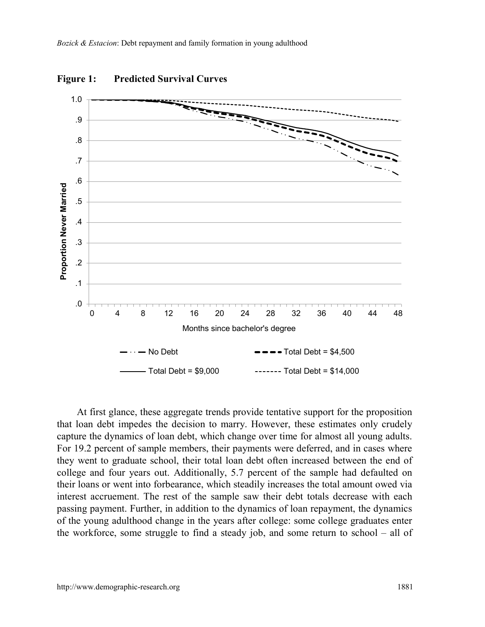

**Figure 1: Predicted Survival Curves** 

At first glance, these aggregate trends provide tentative support for the proposition that loan debt impedes the decision to marry. However, these estimates only crudely capture the dynamics of loan debt, which change over time for almost all young adults. For 19.2 percent of sample members, their payments were deferred, and in cases where they went to graduate school, their total loan debt often increased between the end of college and four years out. Additionally, 5.7 percent of the sample had defaulted on their loans or went into forbearance, which steadily increases the total amount owed via interest accruement. The rest of the sample saw their debt totals decrease with each passing payment. Further, in addition to the dynamics of loan repayment, the dynamics of the young adulthood change in the years after college: some college graduates enter the workforce, some struggle to find a steady job, and some return to school – all of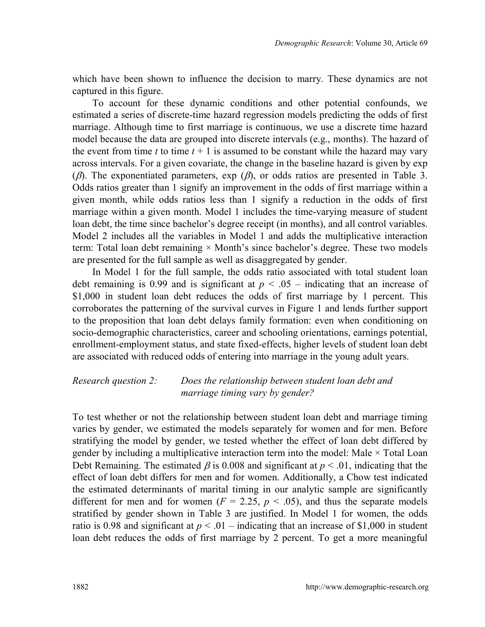which have been shown to influence the decision to marry. These dynamics are not captured in this figure.

To account for these dynamic conditions and other potential confounds, we estimated a series of discrete-time hazard regression models predicting the odds of first marriage. Although time to first marriage is continuous, we use a discrete time hazard model because the data are grouped into discrete intervals (e.g., months). The hazard of the event from time  $t$  to time  $t + 1$  is assumed to be constant while the hazard may vary across intervals. For a given covariate, the change in the baseline hazard is given by exp ( $\beta$ ). The exponentiated parameters, exp ( $\beta$ ), or odds ratios are presented in Table 3. Odds ratios greater than 1 signify an improvement in the odds of first marriage within a given month, while odds ratios less than 1 signify a reduction in the odds of first marriage within a given month. Model 1 includes the time-varying measure of student loan debt, the time since bachelor's degree receipt (in months), and all control variables. Model 2 includes all the variables in Model 1 and adds the multiplicative interaction term: Total loan debt remaining  $\times$  Month's since bachelor's degree. These two models are presented for the full sample as well as disaggregated by gender.

In Model 1 for the full sample, the odds ratio associated with total student loan debt remaining is 0.99 and is significant at  $p < .05$  – indicating that an increase of \$1,000 in student loan debt reduces the odds of first marriage by 1 percent. This corroborates the patterning of the survival curves in Figure 1 and lends further support to the proposition that loan debt delays family formation: even when conditioning on socio-demographic characteristics, career and schooling orientations, earnings potential, enrollment-employment status, and state fixed-effects, higher levels of student loan debt are associated with reduced odds of entering into marriage in the young adult years.

#### *Research question 2: Does the relationship between student loan debt and marriage timing vary by gender?*

To test whether or not the relationship between student loan debt and marriage timing varies by gender, we estimated the models separately for women and for men. Before stratifying the model by gender, we tested whether the effect of loan debt differed by gender by including a multiplicative interaction term into the model: Male  $\times$  Total Loan Debt Remaining. The estimated  $\beta$  is 0.008 and significant at  $p < .01$ , indicating that the effect of loan debt differs for men and for women. Additionally, a Chow test indicated the estimated determinants of marital timing in our analytic sample are significantly different for men and for women ( $F = 2.25$ ,  $p < .05$ ), and thus the separate models stratified by gender shown in Table 3 are justified. In Model 1 for women, the odds ratio is 0.98 and significant at  $p < 0.01$  – indicating that an increase of \$1,000 in student loan debt reduces the odds of first marriage by 2 percent. To get a more meaningful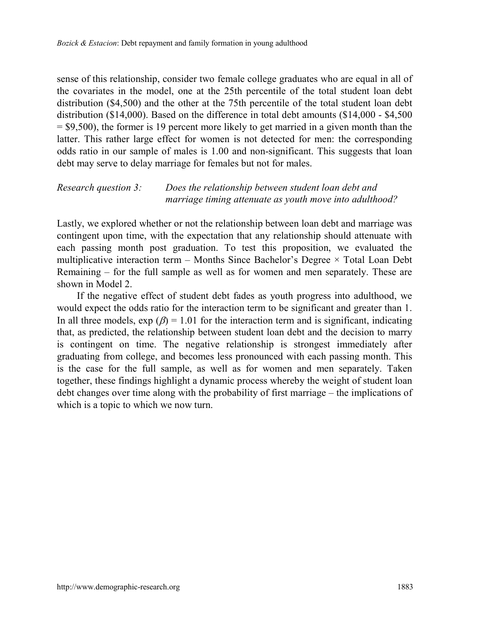sense of this relationship, consider two female college graduates who are equal in all of the covariates in the model, one at the 25th percentile of the total student loan debt distribution (\$4,500) and the other at the 75th percentile of the total student loan debt distribution (\$14,000). Based on the difference in total debt amounts (\$14,000 - \$4,500  $=$  \$9,500), the former is 19 percent more likely to get married in a given month than the latter. This rather large effect for women is not detected for men: the corresponding odds ratio in our sample of males is 1.00 and non-significant. This suggests that loan debt may serve to delay marriage for females but not for males.

#### *Research question 3: Does the relationship between student loan debt and marriage timing attenuate as youth move into adulthood?*

Lastly, we explored whether or not the relationship between loan debt and marriage was contingent upon time, with the expectation that any relationship should attenuate with each passing month post graduation. To test this proposition, we evaluated the multiplicative interaction term – Months Since Bachelor's Degree  $\times$  Total Loan Debt Remaining – for the full sample as well as for women and men separately. These are shown in Model 2.

If the negative effect of student debt fades as youth progress into adulthood, we would expect the odds ratio for the interaction term to be significant and greater than 1. In all three models,  $\exp(\beta) = 1.01$  for the interaction term and is significant, indicating that, as predicted, the relationship between student loan debt and the decision to marry is contingent on time. The negative relationship is strongest immediately after graduating from college, and becomes less pronounced with each passing month. This is the case for the full sample, as well as for women and men separately. Taken together, these findings highlight a dynamic process whereby the weight of student loan debt changes over time along with the probability of first marriage – the implications of which is a topic to which we now turn.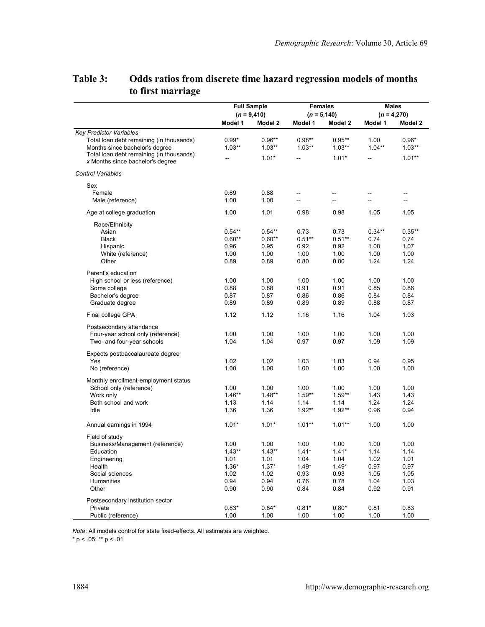|                                          | <b>Full Sample</b> |                | <b>Females</b> |          | <b>Males</b>  |          |
|------------------------------------------|--------------------|----------------|----------------|----------|---------------|----------|
|                                          |                    | $(n = 9, 410)$ | $(n = 5, 140)$ |          | $(n = 4,270)$ |          |
|                                          | Model 1            | Model 2        | Model 1        | Model 2  | Model 1       | Model 2  |
| <b>Key Predictor Variables</b>           |                    |                |                |          |               |          |
| Total loan debt remaining (in thousands) | $0.99*$            | $0.96**$       | $0.98**$       | $0.95**$ | 1.00          | $0.96*$  |
| Months since bachelor's degree           | $1.03**$           | $1.03**$       | $1.03**$       | $1.03**$ | $1.04***$     | $1.03**$ |
| Total loan debt remaining (in thousands) |                    | $1.01*$        | Ξ.             | $1.01*$  |               | $1.01**$ |
| x Months since bachelor's degree         |                    |                |                |          |               |          |
| <b>Control Variables</b>                 |                    |                |                |          |               |          |
| Sex                                      |                    |                |                |          |               |          |
| Female                                   | 0.89               | 0.88           | --             | --       | --            | --       |
| Male (reference)                         | 1.00               | 1.00           | ÷.             | Ξ.       | u.            | Ц.       |
| Age at college graduation                | 1.00               | 1.01           | 0.98           | 0.98     | 1.05          | 1.05     |
| Race/Ethnicity                           |                    |                |                |          |               |          |
| Asian                                    | $0.54**$           | $0.54**$       | 0.73           | 0.73     | $0.34**$      | $0.35**$ |
| Black                                    | $0.60**$           | $0.60**$       | $0.51**$       | $0.51**$ | 0.74          | 0.74     |
| Hispanic                                 | 0.96               | 0.95           | 0.92           | 0.92     | 1.08          | 1.07     |
| White (reference)                        | 1.00               | 1.00           | 1.00           | 1.00     | 1.00          | 1.00     |
| Other                                    | 0.89               | 0.89           | 0.80           | 0.80     | 1.24          | 1.24     |
| Parent's education                       |                    |                |                |          |               |          |
| High school or less (reference)          | 1.00               | 1.00           | 1.00           | 1.00     | 1.00          | 1.00     |
| Some college                             | 0.88               | 0.88           | 0.91           | 0.91     | 0.85          | 0.86     |
| Bachelor's degree                        | 0.87               | 0.87           | 0.86           | 0.86     | 0.84          | 0.84     |
| Graduate degree                          | 0.89               | 0.89           | 0.89           | 0.89     | 0.88          | 0.87     |
| Final college GPA                        | 1.12               | 1.12           | 1.16           | 1.16     | 1.04          | 1.03     |
| Postsecondary attendance                 |                    |                |                |          |               |          |
| Four-year school only (reference)        | 1.00               | 1.00           | 1.00           | 1.00     | 1.00          | 1.00     |
| Two- and four-year schools               | 1.04               | 1.04           | 0.97           | 0.97     | 1.09          | 1.09     |
| Expects postbaccalaureate degree         |                    |                |                |          |               |          |
| Yes                                      | 1.02               | 1.02           | 1.03           | 1.03     | 0.94          | 0.95     |
| No (reference)                           | 1.00               | 1.00           | 1.00           | 1.00     | 1.00          | 1.00     |
| Monthly enrollment-employment status     |                    |                |                |          |               |          |
| School only (reference)                  | 1.00               | 1.00           | 1.00           | 1.00     | 1.00          | 1.00     |
| Work only                                | $1.46**$           | $1.48**$       | $1.59**$       | $1.59**$ | 1.43          | 1.43     |
| Both school and work                     | 1.13               | 1.14           | 1.14           | 1.14     | 1.24          | 1.24     |
| Idle                                     | 1.36               | 1.36           | $1.92**$       | $1.92**$ | 0.96          | 0.94     |
| Annual earnings in 1994                  | $1.01*$            | $1.01*$        | $1.01**$       | $1.01**$ | 1.00          | 1.00     |
| Field of study                           |                    |                |                |          |               |          |
| Business/Management (reference)          | 1.00               | 1.00           | 1.00           | 1.00     | 1.00          | 1.00     |
| Education                                | $1.43**$           | $1.43**$       | $1.41*$        | $1.41*$  | 1.14          | 1.14     |
| Engineering                              | 1.01               | 1.01           | 1.04           | 1.04     | 1.02          | 1.01     |
| Health                                   | $1.36*$            | $1.37*$        | $1.49*$        | $1.49*$  | 0.97          | 0.97     |
| Social sciences                          | 1.02               | 1.02           | 0.93           | 0.93     | 1.05          | 1.05     |
| Humanities                               | 0.94               | 0.94           | 0.76           | 0.78     | 1.04          | 1.03     |
| Other                                    | 0.90               | 0.90           | 0.84           | 0.84     | 0.92          | 0.91     |
| Postsecondary institution sector         |                    |                |                |          |               |          |
| Private                                  | $0.83*$            | $0.84*$        | $0.81*$        | $0.80*$  | 0.81          | 0.83     |
| Public (reference)                       | 1.00               | 1.00           | 1.00           | 1.00     | 1.00          | 1.00     |

## **Table 3: Odds ratios from discrete time hazard regression models of months to first marriage**

*Note*: All models control for state fixed-effects. All estimates are weighted.

\* p < .05; \*\* p < .01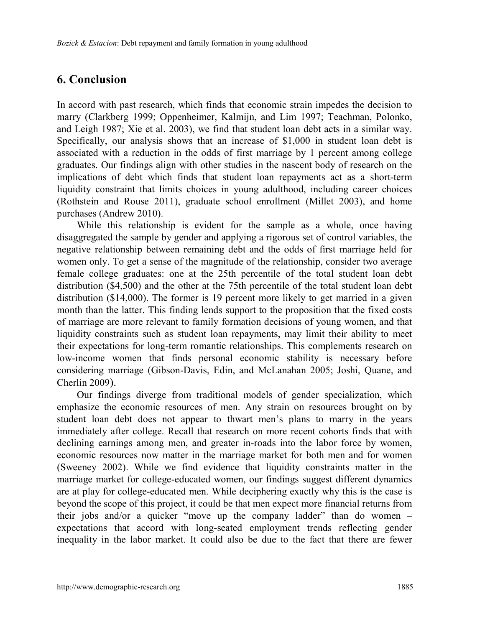## **6. Conclusion**

In accord with past research, which finds that economic strain impedes the decision to marry (Clarkberg 1999; Oppenheimer, Kalmijn, and Lim 1997; Teachman, Polonko, and Leigh 1987; Xie et al. 2003), we find that student loan debt acts in a similar way. Specifically, our analysis shows that an increase of \$1,000 in student loan debt is associated with a reduction in the odds of first marriage by 1 percent among college graduates. Our findings align with other studies in the nascent body of research on the implications of debt which finds that student loan repayments act as a short-term liquidity constraint that limits choices in young adulthood, including career choices (Rothstein and Rouse 2011), graduate school enrollment (Millet 2003), and home purchases (Andrew 2010).

While this relationship is evident for the sample as a whole, once having disaggregated the sample by gender and applying a rigorous set of control variables, the negative relationship between remaining debt and the odds of first marriage held for women only. To get a sense of the magnitude of the relationship, consider two average female college graduates: one at the 25th percentile of the total student loan debt distribution (\$4,500) and the other at the 75th percentile of the total student loan debt distribution (\$14,000). The former is 19 percent more likely to get married in a given month than the latter. This finding lends support to the proposition that the fixed costs of marriage are more relevant to family formation decisions of young women, and that liquidity constraints such as student loan repayments, may limit their ability to meet their expectations for long-term romantic relationships. This complements research on low-income women that finds personal economic stability is necessary before considering marriage (Gibson-Davis, Edin, and McLanahan 2005; Joshi, Quane, and Cherlin 2009).

Our findings diverge from traditional models of gender specialization, which emphasize the economic resources of men. Any strain on resources brought on by student loan debt does not appear to thwart men's plans to marry in the years immediately after college. Recall that research on more recent cohorts finds that with declining earnings among men, and greater in-roads into the labor force by women, economic resources now matter in the marriage market for both men and for women (Sweeney 2002). While we find evidence that liquidity constraints matter in the marriage market for college-educated women, our findings suggest different dynamics are at play for college-educated men. While deciphering exactly why this is the case is beyond the scope of this project, it could be that men expect more financial returns from their jobs and/or a quicker "move up the company ladder" than do women – expectations that accord with long-seated employment trends reflecting gender inequality in the labor market. It could also be due to the fact that there are fewer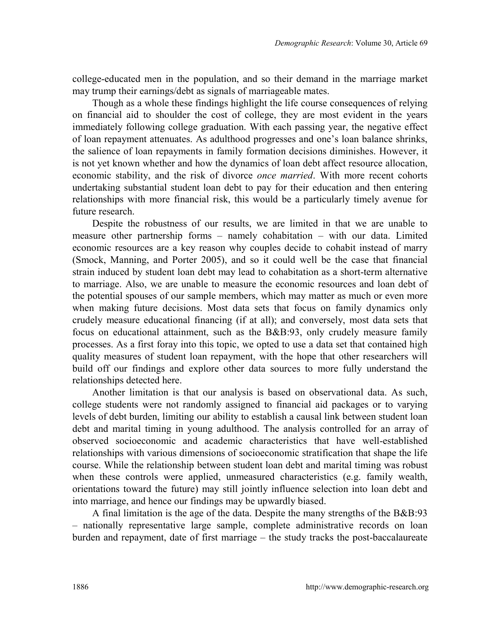college-educated men in the population, and so their demand in the marriage market may trump their earnings/debt as signals of marriageable mates.

Though as a whole these findings highlight the life course consequences of relying on financial aid to shoulder the cost of college, they are most evident in the years immediately following college graduation. With each passing year, the negative effect of loan repayment attenuates. As adulthood progresses and one's loan balance shrinks, the salience of loan repayments in family formation decisions diminishes. However, it is not yet known whether and how the dynamics of loan debt affect resource allocation, economic stability, and the risk of divorce *once married*. With more recent cohorts undertaking substantial student loan debt to pay for their education and then entering relationships with more financial risk, this would be a particularly timely avenue for future research.

Despite the robustness of our results, we are limited in that we are unable to measure other partnership forms – namely cohabitation – with our data. Limited economic resources are a key reason why couples decide to cohabit instead of marry (Smock, Manning, and Porter 2005), and so it could well be the case that financial strain induced by student loan debt may lead to cohabitation as a short-term alternative to marriage. Also, we are unable to measure the economic resources and loan debt of the potential spouses of our sample members, which may matter as much or even more when making future decisions. Most data sets that focus on family dynamics only crudely measure educational financing (if at all); and conversely, most data sets that focus on educational attainment, such as the B&B:93, only crudely measure family processes. As a first foray into this topic, we opted to use a data set that contained high quality measures of student loan repayment, with the hope that other researchers will build off our findings and explore other data sources to more fully understand the relationships detected here.

Another limitation is that our analysis is based on observational data. As such, college students were not randomly assigned to financial aid packages or to varying levels of debt burden, limiting our ability to establish a causal link between student loan debt and marital timing in young adulthood. The analysis controlled for an array of observed socioeconomic and academic characteristics that have well-established relationships with various dimensions of socioeconomic stratification that shape the life course. While the relationship between student loan debt and marital timing was robust when these controls were applied, unmeasured characteristics (e.g. family wealth, orientations toward the future) may still jointly influence selection into loan debt and into marriage, and hence our findings may be upwardly biased.

A final limitation is the age of the data. Despite the many strengths of the B&B:93 – nationally representative large sample, complete administrative records on loan burden and repayment, date of first marriage – the study tracks the post-baccalaureate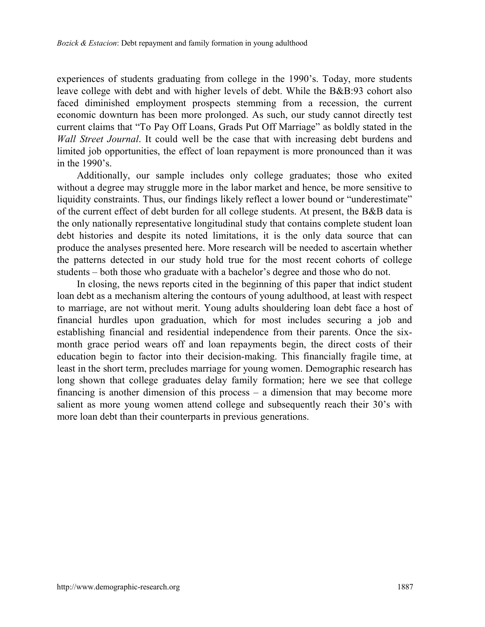experiences of students graduating from college in the 1990's. Today, more students leave college with debt and with higher levels of debt. While the B&B:93 cohort also faced diminished employment prospects stemming from a recession, the current economic downturn has been more prolonged. As such, our study cannot directly test current claims that "To Pay Off Loans, Grads Put Off Marriage" as boldly stated in the *Wall Street Journal*. It could well be the case that with increasing debt burdens and limited job opportunities, the effect of loan repayment is more pronounced than it was in the 1990's.

Additionally, our sample includes only college graduates; those who exited without a degree may struggle more in the labor market and hence, be more sensitive to liquidity constraints. Thus, our findings likely reflect a lower bound or "underestimate" of the current effect of debt burden for all college students. At present, the B&B data is the only nationally representative longitudinal study that contains complete student loan debt histories and despite its noted limitations, it is the only data source that can produce the analyses presented here. More research will be needed to ascertain whether the patterns detected in our study hold true for the most recent cohorts of college students – both those who graduate with a bachelor's degree and those who do not.

In closing, the news reports cited in the beginning of this paper that indict student loan debt as a mechanism altering the contours of young adulthood, at least with respect to marriage, are not without merit. Young adults shouldering loan debt face a host of financial hurdles upon graduation, which for most includes securing a job and establishing financial and residential independence from their parents. Once the sixmonth grace period wears off and loan repayments begin, the direct costs of their education begin to factor into their decision-making. This financially fragile time, at least in the short term, precludes marriage for young women. Demographic research has long shown that college graduates delay family formation; here we see that college financing is another dimension of this process – a dimension that may become more salient as more young women attend college and subsequently reach their 30's with more loan debt than their counterparts in previous generations.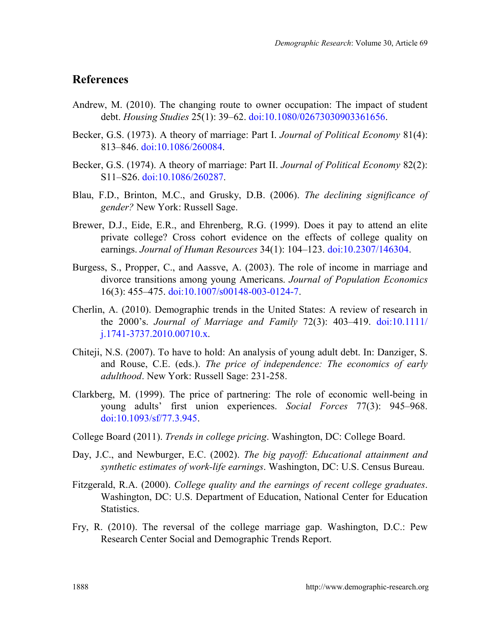## **References**

- Andrew, M. (2010). The changing route to owner occupation: The impact of student debt. *Housing Studies* 25(1): 39–62. [doi:10.1080/02673030903361656.](http://dx.doi.org/10.1080/02673030903361656)
- Becker, G.S. (1973). A theory of marriage: Part I. *Journal of Political Economy* 81(4): 813–846. [doi:10.1086/260084.](http://dx.doi.org/10.1086/260084)
- Becker, G.S. (1974). A theory of marriage: Part II. *Journal of Political Economy* 82(2): S11–S26. [doi:10.1086/260287.](http://dx.doi.org/10.1086/260287)
- Blau, F.D., Brinton, M.C., and Grusky, D.B. (2006). *The declining significance of gender?* New York: Russell Sage.
- Brewer, D.J., Eide, E.R., and Ehrenberg, R.G. (1999). Does it pay to attend an elite private college? Cross cohort evidence on the effects of college quality on earnings. *Journal of Human Resources* 34(1): 104–123. [doi:10.2307/146304.](http://dx.doi.org/10.2307/146304)
- Burgess, S., Propper, C., and Aassve, A. (2003). The role of income in marriage and divorce transitions among young Americans. *Journal of Population Economics* 16(3): 455–475. [doi:10.1007/s00148-003-0124-7.](http://dx.doi.org/10.1007/s00148-003-0124-7)
- Cherlin, A. (2010). Demographic trends in the United States: A review of research in the 2000's. *Journal of Marriage and Family* 72(3): 403–419. [doi:10.1111/](http://dx.doi.org/10.1111/j.1741-3737.2010.00710.x) [j.1741-3737.2010.00710.x.](http://dx.doi.org/10.1111/j.1741-3737.2010.00710.x)
- Chiteji, N.S. (2007). To have to hold: An analysis of young adult debt. In: Danziger, S. and Rouse, C.E. (eds.). *The price of independence: The economics of early adulthood*. New York: Russell Sage: 231-258.
- Clarkberg, M. (1999). The price of partnering: The role of economic well-being in young adults' first union experiences. *Social Forces* 77(3): 945–968. [doi:10.1093/sf/77.3.945.](http://dx.doi.org/10.1093/sf/77.3.945)
- College Board (2011). *Trends in college pricing*. Washington, DC: College Board.
- Day, J.C., and Newburger, E.C. (2002). *The big payoff: Educational attainment and synthetic estimates of work-life earnings*. Washington, DC: U.S. Census Bureau.
- Fitzgerald, R.A. (2000). *College quality and the earnings of recent college graduates*. Washington, DC: U.S. Department of Education, National Center for Education Statistics.
- Fry, R. (2010). The reversal of the college marriage gap. Washington, D.C.: Pew Research Center Social and Demographic Trends Report.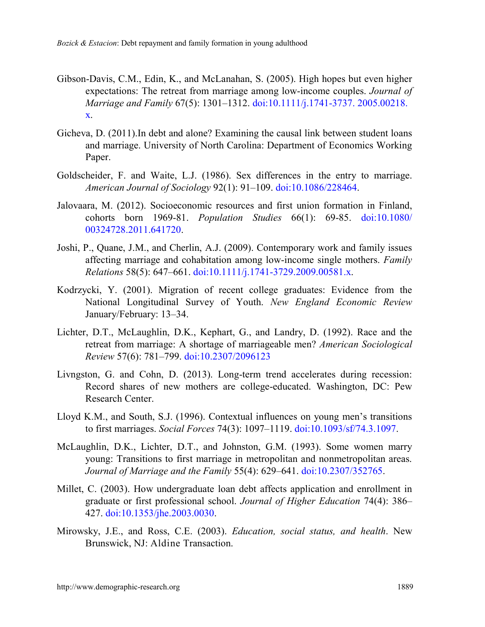- Gibson-Davis, C.M., Edin, K., and McLanahan, S. (2005). High hopes but even higher expectations: The retreat from marriage among low-income couples. *Journal of Marriage and Family* 67(5): 1301–1312. [doi:10.1111/j.1741-3737.](http://dx.doi.org/10.1111/j.1741-3737.2005.00218.x) 2005.00218. [x.](http://dx.doi.org/10.1111/j.1741-3737.2005.00218.x)
- Gicheva, D. (2011).In debt and alone? Examining the causal link between student loans and marriage. University of North Carolina: Department of Economics Working Paper.
- Goldscheider, F. and Waite, L.J. (1986). Sex differences in the entry to marriage. *American Journal of Sociology* 92(1): 91–109. [doi:10.1086/228464.](http://dx.doi.org/10.1086/228464)
- Jalovaara, M. (2012). Socioeconomic resources and first union formation in Finland, cohorts born 1969-81. *Population Studies* 66(1): 69-85. [doi:10.1080/](http://dx.doi.org/10.1080/00324728.2011.641720) [00324728.2011.641720.](http://dx.doi.org/10.1080/00324728.2011.641720)
- Joshi, P., Quane, J.M., and Cherlin, A.J. (2009). Contemporary work and family issues affecting marriage and cohabitation among low-income single mothers. *Family Relations* 58(5): 647–661. [doi:10.1111/j.1741-3729.2009.00581.x.](http://dx.doi.org/10.1111/j.1741-3729.2009.00581.x)
- Kodrzycki, Y. (2001). Migration of recent college graduates: Evidence from the National Longitudinal Survey of Youth. *New England Economic Review* January/February: 13–34.
- Lichter, D.T., McLaughlin, D.K., Kephart, G., and Landry, D. (1992). Race and the retreat from marriage: A shortage of marriageable men? *American Sociological Review* 57(6): 781–799. [doi:10.2307/2096123](http://dx.doi.org/10.2307/2096123)
- Livngston, G. and Cohn, D. (2013). Long-term trend accelerates during recession: Record shares of new mothers are college-educated. Washington, DC: Pew Research Center.
- Lloyd K.M., and South, S.J. (1996). Contextual influences on young men's transitions to first marriages. *Social Forces* 74(3): 1097–1119. [doi:10.1093/sf/74.3.1097.](http://dx.doi.org/10.1093/sf/74.3.1097)
- McLaughlin, D.K., Lichter, D.T., and Johnston, G.M. (1993). Some women marry young: Transitions to first marriage in metropolitan and nonmetropolitan areas. *Journal of Marriage and the Family* 55(4): 629–641. [doi:10.2307/352765.](http://dx.doi.org/10.2307/352765)
- Millet, C. (2003). How undergraduate loan debt affects application and enrollment in graduate or first professional school. *Journal of Higher Education* 74(4): 386– 427. [doi:10.1353/jhe.2003.0030.](http://dx.doi.org/10.1353/jhe.2003.0030)
- Mirowsky, J.E., and Ross, C.E. (2003). *Education, social status, and health*. New Brunswick, NJ: Aldine Transaction.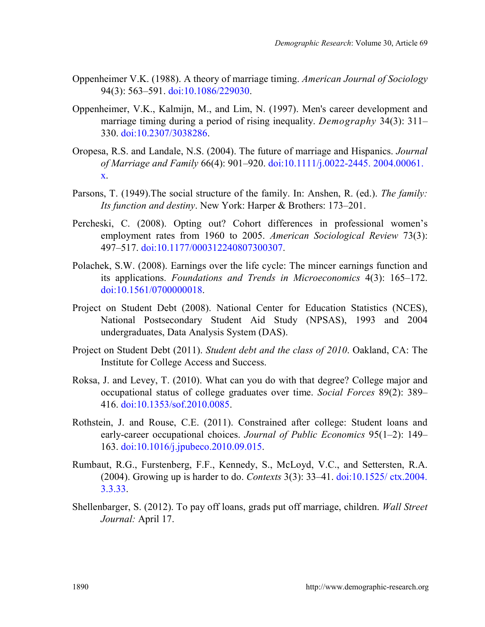- Oppenheimer V.K. (1988). A theory of marriage timing. *American Journal of Sociology* 94(3): 563–591. [doi:10.1086/229030.](http://dx.doi.org/10.1086/229030)
- Oppenheimer, V.K., Kalmijn, M., and Lim, N. (1997). Men's career development and marriage timing during a period of rising inequality. *Demography* 34(3): 311– 330. [doi:10.2307/3038286.](http://dx.doi.org/10.2307/3038286)
- Oropesa, R.S. and Landale, N.S. (2004). The future of marriage and Hispanics. *Journal of Marriage and Family* 66(4): 901–920. [doi:10.1111/j.0022-2445.](http://dx.doi.org/10.1111/j.0022-2445.2004.00061.x) 2004.00061. [x.](http://dx.doi.org/10.1111/j.0022-2445.2004.00061.x)
- Parsons, T. (1949).The social structure of the family. In: Anshen, R. (ed.). *The family: Its function and destiny*. New York: Harper & Brothers: 173–201.
- Percheski, C. (2008). Opting out? Cohort differences in professional women's employment rates from 1960 to 2005. *American Sociological Review* 73(3): 497–517. [doi:10.1177/000312240807300307.](http://dx.doi.org/10.1177/000312240807300307)
- Polachek, S.W. (2008). Earnings over the life cycle: The mincer earnings function and its applications. *Foundations and Trends in Microeconomics* 4(3): 165–172. [doi:10.1561/0700000018.](http://dx.doi.org/10.1561/0700000018)
- Project on Student Debt (2008). National Center for Education Statistics (NCES), National Postsecondary Student Aid Study (NPSAS), 1993 and 2004 undergraduates, Data Analysis System (DAS).
- Project on Student Debt (2011). *Student debt and the class of 2010*. Oakland, CA: The Institute for College Access and Success.
- Roksa, J. and Levey, T. (2010). What can you do with that degree? College major and occupational status of college graduates over time. *Social Forces* 89(2): 389– 416. [doi:10.1353/sof.2010.0085.](http://dx.doi.org/10.1353/sof.2010.0085)
- Rothstein, J. and Rouse, C.E. (2011). Constrained after college: Student loans and early-career occupational choices. *Journal of Public Economics* 95(1–2): 149– 163. [doi:10.1016/j.jpubeco.2010.09.015.](http://dx.doi.org/10.1016/j.jpubeco.2010.09.015)
- Rumbaut, R.G., Furstenberg, F.F., Kennedy, S., McLoyd, V.C., and Settersten, R.A. (2004). Growing up is harder to do. *Contexts* 3(3): 33–41. [doi:10.1525/](http://dx.doi.org/10.1525/ctx.2004.3.3.33) ctx.2004. [3.3.33.](http://dx.doi.org/10.1525/ctx.2004.3.3.33)
- Shellenbarger, S. (2012). To pay off loans, grads put off marriage, children. *Wall Street Journal:* April 17.